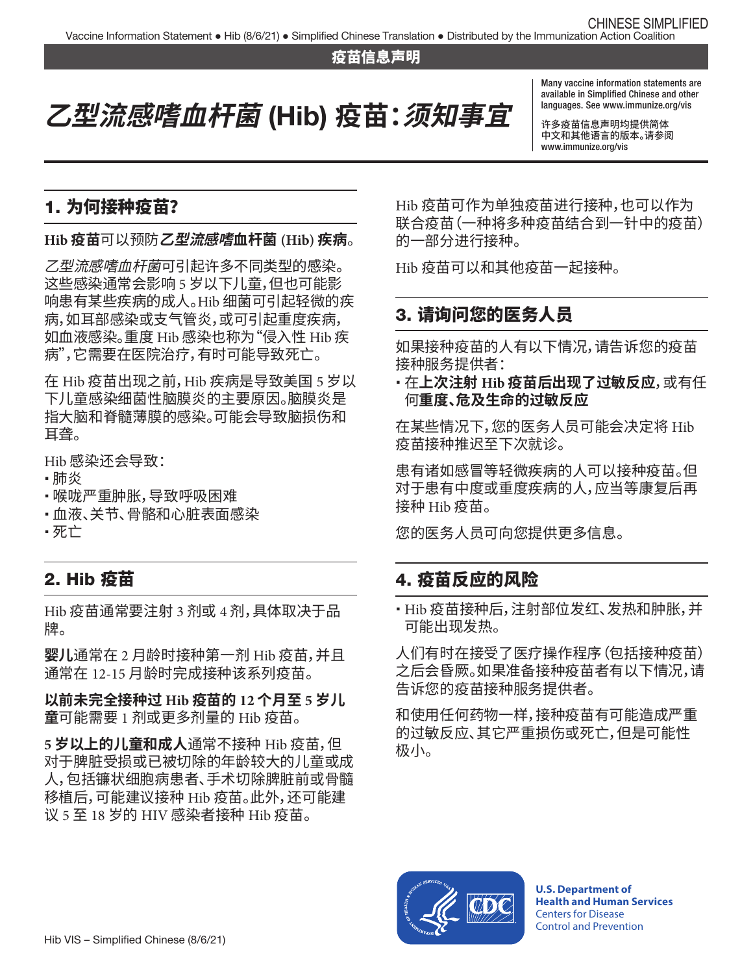#### 疫苗信息声明

# **乙型流感嗜血杆菌** (Hib) **疫苗:须知事宜**

Many vaccine information statements are available in Simplifed Chinese and other languages. See [www.immunize.org/vis](http://www.immunize.org/vis)

许多疫苗信息声明均提供简体 中文和其他语言的版本。请参阅 [www.immunize.org/vis](http://www.immunize.org/vis) 

# 1. 为何接种疫苗?

#### **Hib 疫苗**可以预防**乙型流感嗜血杆菌 (Hib) 疾病**。

*乙型流感嗜血杆菌*可引起许多不同类型的感染。 这些感染通常会影响 5 岁以下儿童,但也可能影 响患有某些疾病的成人。Hib 细菌可引起轻微的疾 病,如耳部感染或支气管炎,或可引起重度疾病, 如血液感染。重度 Hib 感染也称为"侵入性 Hib 疾 病",它需要在医院治疗,有时可能导致死亡。

在 Hib 疫苗出现之前,Hib 疾病是导致美国 5 岁以 下儿童感染细菌性脑膜炎的主要原因。脑膜炎是 指大脑和脊髓薄膜的感染。可能会导致脑损伤和 耳聋。

Hib 感染还会导致:

- � 肺炎
- 喉咙严重肿胀,导致呼吸困难
- 血液、关节、骨骼和心脏表面感染
- � 死亡

#### 2. Hib 疫苗

Hib 疫苗通常要注射 3 剂或 4 剂,具体取决于品 牌。

**婴儿**通常在 2 月龄时接种第一剂 Hib 疫苗,并且 通常在 12-15 月龄时完成接种该系列疫苗。

**以前未完全接种过 Hib 疫苗的 12 个月至 5 岁儿 童**可能需要 1 剂或更多剂量的 Hib 疫苗。

**5 岁以上的儿童和成人**通常不接种 Hib 疫苗,但 对于脾脏受损或已被切除的年龄较大的儿童或成 人,包括镰状细胞病患者、手术切除脾脏前或骨髓 移植后,可能建议接种 Hib 疫苗。此外,还可能建 议 5 至 18 岁的 HIV 感染者接种 Hib 疫苗。

Hib 疫苗可作为单独疫苗进行接种,也可以作为 联合疫苗(一种将多种疫苗结合到一针中的疫苗) 的一部分进行接种。

Hib 疫苗可以和其他疫苗一起接种。

#### 3. 请询问您的医务人员

如果接种疫苗的人有以下情况,请告诉您的疫苗 接种服务提供者:

� 在**上次注射 Hib 疫苗后出现了过敏反应**,或有任 何**重度、危及生命的过敏反应**

在某些情况下,您的医务人员可能会决定将 Hib 疫苗接种推迟至下次就诊。

患有诸如感冒等轻微疾病的人可以接种疫苗。但 对于患有中度或重度疾病的人,应当等康复后再 接种 Hib 疫苗。

您的医务人员可向您提供更多信息。

#### 4. 疫苗反应的风险

• Hib 疫苗接种后,注射部位发红、发热和肿胀,并 可能出现发热。

人们有时在接受了医疗操作程序(包括接种疫苗) 之后会昏厥。如果准备接种疫苗者有以下情况,请 告诉您的疫苗接种服务提供者。

和使用任何药物一样,接种疫苗有可能造成严重 的过敏反应、其它严重损伤或死亡,但是可能性 极小。



**U.S. Department of Health and Human Services**  Centers for Disease Control and Prevention